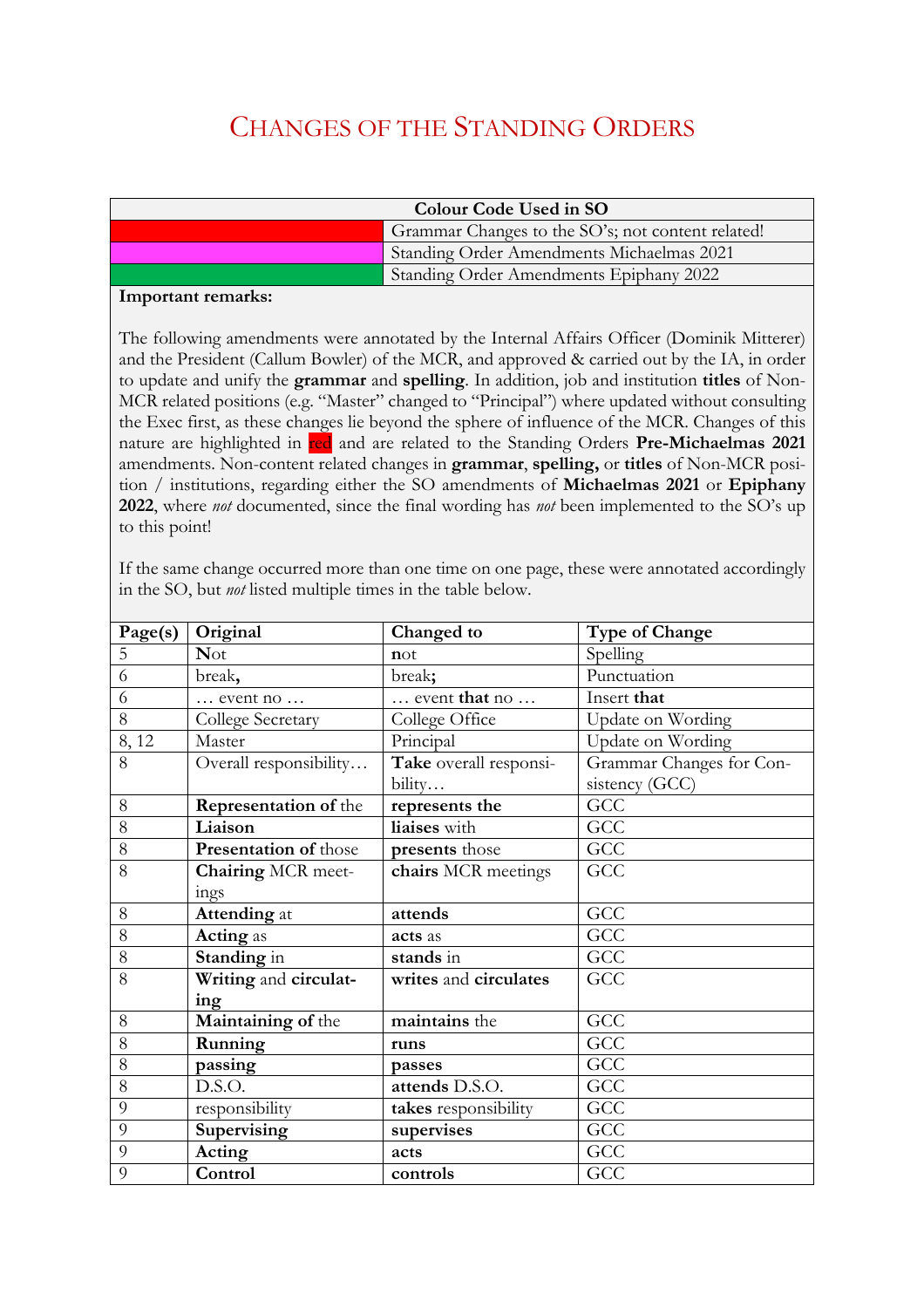## CHANGES OF THE STANDING ORDERS

| Colour Code Used in SO |                                                   |  |
|------------------------|---------------------------------------------------|--|
|                        | Grammar Changes to the SO's; not content related! |  |
|                        | Standing Order Amendments Michaelmas 2021         |  |
|                        | Standing Order Amendments Epiphany 2022           |  |

## **Important remarks:**

The following amendments were annotated by the Internal Affairs Officer (Dominik Mitterer) and the President (Callum Bowler) of the MCR, and approved & carried out by the IA, in order to update and unify the **grammar** and **spelling**. In addition, job and institution **titles** of Non-MCR related positions (e.g. "Master" changed to "Principal") where updated without consulting the Exec first, as these changes lie beyond the sphere of influence of the MCR. Changes of this nature are highlighted in red and are related to the Standing Orders **Pre-Michaelmas 2021** amendments. Non-content related changes in **grammar**, **spelling,** or **titles** of Non-MCR position / institutions, regarding either the SO amendments of **Michaelmas 2021** or **Epiphany 2022**, where *not* documented, since the final wording has *not* been implemented to the SO's up to this point!

If the same change occurred more than one time on one page, these were annotated accordingly in the SO, but *not* listed multiple times in the table below.

| Page(s) | Original                     | Changed to             | <b>Type of Change</b>    |
|---------|------------------------------|------------------------|--------------------------|
| 5       | <b>Not</b>                   | not                    | Spelling                 |
| 6       | break,                       | break;                 | Punctuation              |
| 6       | event no                     | event that no          | Insert that              |
| 8       | College Secretary            | College Office         | Update on Wording        |
| 8,12    | Master                       | Principal              | Update on Wording        |
| 8       | Overall responsibility       | Take overall responsi- | Grammar Changes for Con- |
|         |                              | bility                 | sistency (GCC)           |
| 8       | <b>Representation of the</b> | represents the         | GCC                      |
| 8       | Liaison                      | liaises with           | GCC                      |
| 8       | Presentation of those        | presents those         | GCC                      |
| 8       | Chairing MCR meet-           | chairs MCR meetings    | GCC                      |
|         | ings                         |                        |                          |
| 8       | <b>Attending</b> at          | attends                | GCC                      |
| 8       | <b>Acting</b> as             | acts as                | $\overline{GCC}$         |
| 8       | Standing in                  | stands in              | GCC                      |
| 8       | Writing and circulat-        | writes and circulates  | GCC                      |
|         | ing                          |                        |                          |
| 8       | Maintaining of the           | maintains the          | GCC                      |
| 8       | Running                      | runs                   | GCC                      |
| 8       | passing                      | passes                 | GCC                      |
| 8       | D.S.O.                       | attends D.S.O.         | GCC                      |
| 9       | responsibility               | takes responsibility   | GCC                      |
| 9       | Supervising                  | supervises             | GCC                      |
| 9       | Acting                       | acts                   | GCC                      |
| 9       | Control                      | controls               | GCC                      |